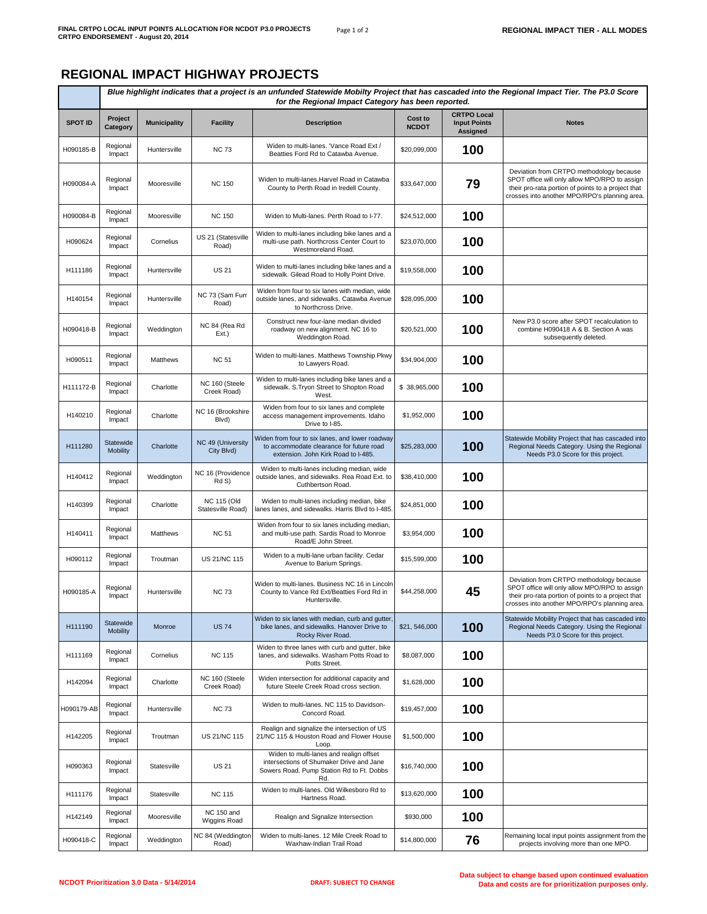## **REGIONAL IMPACT HIGHWAY PROJECTS**

|                | Blue highlight indicates that a project is an unfunded Statewide Mobilty Project that has cascaded into the Regional Impact Tier. The P3.0 Score<br>for the Regional Impact Category has been reported. |                     |                                         |                                                                                                                                         |                         |                                                              |                                                                                                                                                                                                  |
|----------------|---------------------------------------------------------------------------------------------------------------------------------------------------------------------------------------------------------|---------------------|-----------------------------------------|-----------------------------------------------------------------------------------------------------------------------------------------|-------------------------|--------------------------------------------------------------|--------------------------------------------------------------------------------------------------------------------------------------------------------------------------------------------------|
| <b>SPOT ID</b> | Project<br>Category                                                                                                                                                                                     | <b>Municipality</b> | <b>Facility</b>                         | <b>Description</b>                                                                                                                      | Cost to<br><b>NCDOT</b> | <b>CRTPO Local</b><br><b>Input Points</b><br><b>Assigned</b> | <b>Notes</b>                                                                                                                                                                                     |
| H090185-B      | Regional<br>Impact                                                                                                                                                                                      | Huntersville        | <b>NC 73</b>                            | Widen to multi-lanes. 'Vance Road Ext /<br>Beatties Ford Rd to Catawba Avenue.                                                          | \$20,099,000            | 100                                                          |                                                                                                                                                                                                  |
| H090084-A      | Regional<br>Impact                                                                                                                                                                                      | Mooresville         | <b>NC 150</b>                           | Widen to multi-lanes. Harvel Road in Catawba<br>County to Perth Road in Iredell County.                                                 | \$33,647,000            | 79                                                           | Deviation from CRTPO methodology because<br>SPOT office will only allow MPO/RPO to assign<br>their pro-rata portion of points to a project that<br>crosses into another MPO/RPO's planning area. |
| H090084-B      | Regional<br>Impact                                                                                                                                                                                      | Mooresville         | <b>NC 150</b>                           | Widen to Multi-lanes. Perth Road to I-77.                                                                                               | \$24,512,000            | 100                                                          |                                                                                                                                                                                                  |
| H090624        | Regional<br>Impact                                                                                                                                                                                      | Cornelius           | US 21 (Statesville<br>Road)             | Widen to multi-lanes including bike lanes and a<br>multi-use path. Northcross Center Court to<br>Westmoreland Road.                     | \$23,070,000            | 100                                                          |                                                                                                                                                                                                  |
| H111186        | Regional<br>Impact                                                                                                                                                                                      | Huntersville        | <b>US 21</b>                            | Widen to multi-lanes including bike lanes and a<br>sidewalk. Gilead Road to Holly Point Drive.                                          | \$19,558,000            | 100                                                          |                                                                                                                                                                                                  |
| H140154        | Regional<br>Impact                                                                                                                                                                                      | Huntersville        | NC 73 (Sam Furr<br>Road)                | Widen from four to six lanes with median, wide<br>outside lanes, and sidewalks. Catawba Avenue<br>to Northcross Drive.                  | \$28,095,000            | 100                                                          |                                                                                                                                                                                                  |
| H090418-B      | Regional<br>Impact                                                                                                                                                                                      | Weddington          | NC 84 (Rea Rd<br>Ext.)                  | Construct new four-lane median divided<br>roadway on new alignment. NC 16 to<br>Weddington Road.                                        | \$20,521,000            | 100                                                          | New P3.0 score after SPOT recalculation to<br>combine H090418 A & B. Section A was<br>subsequently deleted.                                                                                      |
| H090511        | Regional<br>Impact                                                                                                                                                                                      | Matthews            | <b>NC 51</b>                            | Widen to multi-lanes. Matthews Township Pkwy<br>to Lawyers Road.                                                                        | \$34,904,000            | 100                                                          |                                                                                                                                                                                                  |
| H111172-B      | Regional<br>Impact                                                                                                                                                                                      | Charlotte           | NC 160 (Steele<br>Creek Road)           | Widen to multi-lanes including bike lanes and a<br>sidewalk. S.Tryon Street to Shopton Road<br>West.                                    | \$38,965,000            | 100                                                          |                                                                                                                                                                                                  |
| H140210        | Regional<br>Impact                                                                                                                                                                                      | Charlotte           | NC 16 (Brookshire<br>Blvd)              | Widen from four to six lanes and complete<br>access management improvements. Idaho<br>Drive to I-85.                                    | \$1,952,000             | 100                                                          |                                                                                                                                                                                                  |
| H111280        | Statewide<br><b>Mobility</b>                                                                                                                                                                            | Charlotte           | NC 49 (University<br>City Blvd)         | Widen from four to six lanes, and lower roadway<br>to accommodate clearance for future road<br>extension. John Kirk Road to I-485.      | \$25,283,000            | 100                                                          | Statewide Mobility Project that has cascaded into<br>Regional Needs Category. Using the Regional<br>Needs P3.0 Score for this project.                                                           |
| H140412        | Regional<br>Impact                                                                                                                                                                                      | Weddington          | NC 16 (Providence<br>Rd S)              | Widen to multi-lanes including median, wide<br>outside lanes, and sidewalks. Rea Road Ext. to<br>Cuthbertson Road.                      | \$38,410,000            | 100                                                          |                                                                                                                                                                                                  |
| H140399        | Regional<br>Impact                                                                                                                                                                                      | Charlotte           | <b>NC 115 (Old</b><br>Statesville Road) | Widen to multi-lanes including median, bike<br>anes lanes, and sidewalks. Harris Blvd to I-485                                          | \$24,851,000            | 100                                                          |                                                                                                                                                                                                  |
| H140411        | Regional<br>Impact                                                                                                                                                                                      | Matthews            | <b>NC 51</b>                            | Widen from four to six lanes including median,<br>and multi-use path. Sardis Road to Monroe<br>Road/E John Street.                      | \$3,954,000             | 100                                                          |                                                                                                                                                                                                  |
| H090112        | Regional<br>Impact                                                                                                                                                                                      | Troutman            | US 21/NC 115                            | Widen to a multi-lane urban facility. Cedar<br>Avenue to Barium Springs.                                                                | \$15,599,000            | 100                                                          |                                                                                                                                                                                                  |
| H090185-A      | Regional<br>Impact                                                                                                                                                                                      | Huntersville        | <b>NC 73</b>                            | Widen to multi-lanes. Business NC 16 in Lincoln<br>County to Vance Rd Ext/Beatties Ford Rd in<br>Huntersville.                          | \$44,258,000            | 45                                                           | Deviation from CRTPO methodology because<br>SPOT office will only allow MPO/RPO to assign<br>their pro-rata portion of points to a project that<br>crosses into another MPO/RPO's planning area. |
| H111190        | Statewide<br><b>Mobility</b>                                                                                                                                                                            | Monroe              | <b>US 74</b>                            | Widen to six lanes with median, curb and gutter,<br>bike lanes, and sidewalks. Hanover Drive to<br>Rocky River Road.                    | \$21,546,000            | 100                                                          | Statewide Mobility Project that has cascaded into<br>Regional Needs Category. Using the Regional<br>Needs P3.0 Score for this project.                                                           |
| H111169        | Regional<br>Impact                                                                                                                                                                                      | Cornelius           | <b>NC 115</b>                           | Widen to three lanes with curb and gutter, bike<br>lanes, and sidewalks. Washam Potts Road to<br>Potts Street.                          | \$8,087,000             | 100                                                          |                                                                                                                                                                                                  |
| H142094        | Regional<br>Impact                                                                                                                                                                                      | Charlotte           | NC 160 (Steele<br>Creek Road)           | Widen intersection for additional capacity and<br>future Steele Creek Road cross section.                                               | \$1,628,000             | 100                                                          |                                                                                                                                                                                                  |
| H090179-AB     | Regional<br>Impact                                                                                                                                                                                      | Huntersville        | <b>NC 73</b>                            | Widen to multi-lanes. NC 115 to Davidson-<br>Concord Road.                                                                              | \$19,457,000            | 100                                                          |                                                                                                                                                                                                  |
| H142205        | Regional<br>Impact                                                                                                                                                                                      | Troutman            | US 21/NC 115                            | Realign and signalize the intersection of US<br>21/NC 115 & Houston Road and Flower House<br>Loop.                                      | \$1,500,000             | 100                                                          |                                                                                                                                                                                                  |
| H090363        | Regional<br>Impact                                                                                                                                                                                      | Statesville         | <b>US 21</b>                            | Widen to multi-lanes and realign offset<br>intersections of Shumaker Drive and Jane<br>Sowers Road. Pump Station Rd to Ft. Dobbs<br>Rd. | \$16,740,000            | 100                                                          |                                                                                                                                                                                                  |
| H111176        | Regional<br>Impact                                                                                                                                                                                      | Statesville         | <b>NC 115</b>                           | Widen to multi-lanes. Old Wilkesboro Rd to<br>Hartness Road.                                                                            | \$13,620,000            | 100                                                          |                                                                                                                                                                                                  |
| H142149        | Regional<br>Impact                                                                                                                                                                                      | Mooresville         | NC 150 and<br>Wiggins Road              | Realign and Signalize Intersection                                                                                                      | \$930,000               | 100                                                          |                                                                                                                                                                                                  |
| H090418-C      | Regional<br>Impact                                                                                                                                                                                      | Weddington          | NC 84 (Weddington<br>Road)              | Widen to multi-lanes. 12 Mile Creek Road to<br>Waxhaw-Indian Trail Road                                                                 | \$14,800,000            | 76                                                           | Remaining local input points assignment from the<br>projects involving more than one MPO.                                                                                                        |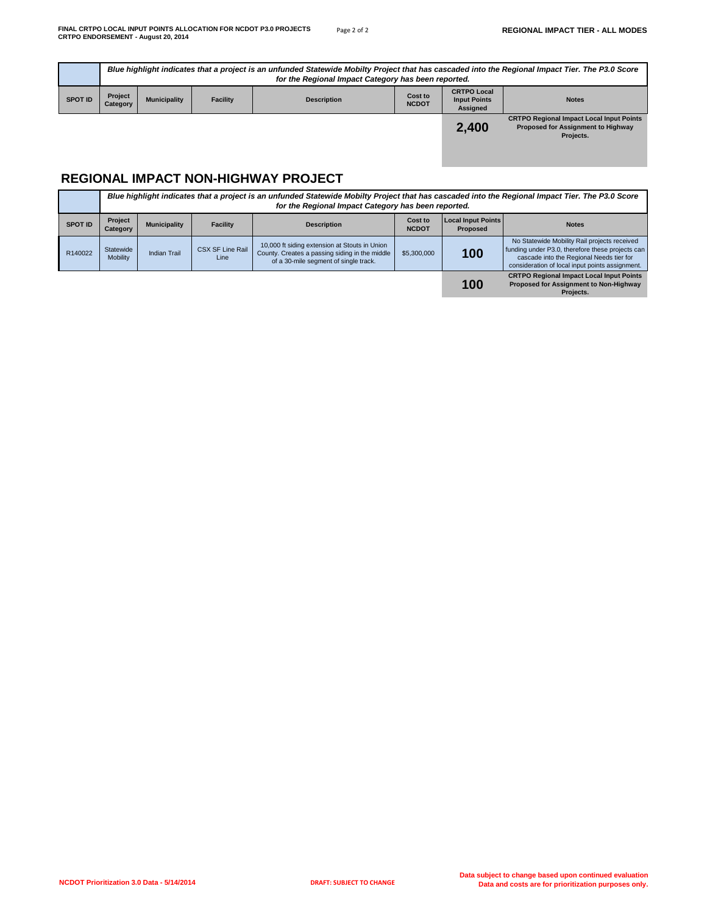|                |                            | Blue highlight indicates that a project is an unfunded Statewide Mobilty Project that has cascaded into the Regional Impact Tier. The P3.0 Score<br>for the Regional Impact Category has been reported. |                 |                    |                         |                                                              |                                                 |  |
|----------------|----------------------------|---------------------------------------------------------------------------------------------------------------------------------------------------------------------------------------------------------|-----------------|--------------------|-------------------------|--------------------------------------------------------------|-------------------------------------------------|--|
| <b>SPOT ID</b> | <b>Project</b><br>Category | <b>Municipality</b>                                                                                                                                                                                     | <b>Facility</b> | <b>Description</b> | Cost to<br><b>NCDOT</b> | <b>CRTPO Local</b><br><b>Input Points</b><br><b>Assigned</b> | <b>Notes</b>                                    |  |
|                |                            |                                                                                                                                                                                                         |                 |                    |                         | - - - -                                                      | <b>CRTPO Regional Impact Local Input Points</b> |  |

## **2,400**

**CRTPO Regional Impact Local Input Points Proposed for Assignment to Highway Projects.**

## **REGIONAL IMPACT NON-HIGHWAY PROJECT**

|                | Blue highlight indicates that a project is an unfunded Statewide Mobilty Project that has cascaded into the Regional Impact Tier. The P3.0 Score<br>for the Regional Impact Category has been reported. |                     |                                 |                                                                                                                                          |                         |                                       |                                                                                                                                                                                                 |
|----------------|---------------------------------------------------------------------------------------------------------------------------------------------------------------------------------------------------------|---------------------|---------------------------------|------------------------------------------------------------------------------------------------------------------------------------------|-------------------------|---------------------------------------|-------------------------------------------------------------------------------------------------------------------------------------------------------------------------------------------------|
| <b>SPOT ID</b> | Project<br>Category                                                                                                                                                                                     | <b>Municipality</b> | <b>Facility</b>                 | <b>Description</b>                                                                                                                       | Cost to<br><b>NCDOT</b> | <b>Local Input Points</b><br>Proposed | <b>Notes</b>                                                                                                                                                                                    |
| R140022        | Statewide<br><b>Mobility</b>                                                                                                                                                                            | Indian Trail        | <b>CSX SF Line Rail</b><br>Line | 10,000 ft siding extension at Stouts in Union<br>County. Creates a passing siding in the middle<br>of a 30-mile segment of single track. | \$5,300,000             | 100                                   | No Statewide Mobility Rail projects received<br>funding under P3.0, therefore these projects can<br>cascade into the Regional Needs tier for<br>consideration of local input points assignment. |
|                |                                                                                                                                                                                                         |                     |                                 |                                                                                                                                          |                         | 100                                   | <b>CRTPO Regional Impact Local Input Points</b><br>Proposed for Assignment to Non-Highway<br>Projects.                                                                                          |